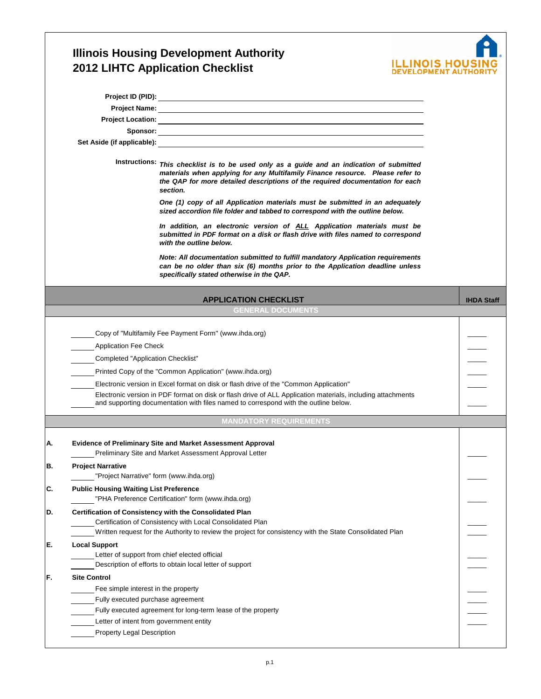## **Illinois Housing Development Authority 2012 LIHTC Application Checklist**



|    |                                                                     | Project Location: <u>Conservation</u> Conservation Conservation Conservation Conservation Conservation Conservation Conservation Conservation Conservation Conservation Conservation Conservation Conservation Conservation Conserv                                     |                   |
|----|---------------------------------------------------------------------|-------------------------------------------------------------------------------------------------------------------------------------------------------------------------------------------------------------------------------------------------------------------------|-------------------|
|    |                                                                     |                                                                                                                                                                                                                                                                         |                   |
|    |                                                                     | Set Aside (if applicable):                                                                                                                                                                                                                                              |                   |
|    |                                                                     | Instructions: This checklist is to be used only as a guide and an indication of submitted<br>materials when applying for any Multifamily Finance resource. Please refer to<br>the QAP for more detailed descriptions of the required documentation for each<br>section. |                   |
|    |                                                                     | One (1) copy of all Application materials must be submitted in an adequately<br>sized accordion file folder and tabbed to correspond with the outline below.                                                                                                            |                   |
|    |                                                                     | In addition, an electronic version of <b>ALL</b> Application materials must be<br>submitted in PDF format on a disk or flash drive with files named to correspond<br>with the outline below.                                                                            |                   |
|    |                                                                     | Note: All documentation submitted to fulfill mandatory Application requirements<br>can be no older than six (6) months prior to the Application deadline unless<br>specifically stated otherwise in the QAP.                                                            |                   |
|    |                                                                     | <b>APPLICATION CHECKLIST</b>                                                                                                                                                                                                                                            | <b>IHDA Staff</b> |
|    |                                                                     | <b>GENERAL DOCUMENTS</b>                                                                                                                                                                                                                                                |                   |
|    |                                                                     |                                                                                                                                                                                                                                                                         |                   |
|    |                                                                     | Copy of "Multifamily Fee Payment Form" (www.ihda.org)                                                                                                                                                                                                                   |                   |
|    | <b>Application Fee Check</b>                                        |                                                                                                                                                                                                                                                                         |                   |
|    | Completed "Application Checklist"                                   |                                                                                                                                                                                                                                                                         |                   |
|    |                                                                     | Printed Copy of the "Common Application" (www.ihda.org)                                                                                                                                                                                                                 |                   |
|    |                                                                     | Electronic version in Excel format on disk or flash drive of the "Common Application"                                                                                                                                                                                   |                   |
|    |                                                                     | Electronic version in PDF format on disk or flash drive of ALL Application materials, including attachments                                                                                                                                                             |                   |
|    |                                                                     | and supporting documentation with files named to correspond with the outline below.                                                                                                                                                                                     |                   |
|    |                                                                     | <b>MANDATORY REQUIREMENTS</b>                                                                                                                                                                                                                                           |                   |
|    |                                                                     |                                                                                                                                                                                                                                                                         |                   |
| А. |                                                                     | <b>Evidence of Preliminary Site and Market Assessment Approval</b><br>Preliminary Site and Market Assessment Approval Letter                                                                                                                                            |                   |
|    |                                                                     |                                                                                                                                                                                                                                                                         |                   |
| В. | <b>Project Narrative</b><br>"Project Narrative" form (www.ihda.org) |                                                                                                                                                                                                                                                                         |                   |
|    |                                                                     |                                                                                                                                                                                                                                                                         |                   |
| C. | <b>Public Housing Waiting List Preference</b>                       | "PHA Preference Certification" form (www.ihda.org)                                                                                                                                                                                                                      |                   |
| D. |                                                                     | Certification of Consistency with the Consolidated Plan<br>Certification of Consistency with Local Consolidated Plan                                                                                                                                                    |                   |
|    |                                                                     | Written request for the Authority to review the project for consistency with the State Consolidated Plan                                                                                                                                                                |                   |
| Е. | <b>Local Support</b>                                                | Letter of support from chief elected official                                                                                                                                                                                                                           |                   |
|    |                                                                     | Description of efforts to obtain local letter of support                                                                                                                                                                                                                |                   |
| F. | <b>Site Control</b>                                                 |                                                                                                                                                                                                                                                                         |                   |
|    | Fee simple interest in the property                                 |                                                                                                                                                                                                                                                                         |                   |
|    | Fully executed purchase agreement                                   |                                                                                                                                                                                                                                                                         |                   |
|    |                                                                     | Fully executed agreement for long-term lease of the property                                                                                                                                                                                                            |                   |
|    | Letter of intent from government entity                             |                                                                                                                                                                                                                                                                         |                   |
|    | <b>Property Legal Description</b>                                   |                                                                                                                                                                                                                                                                         |                   |
|    |                                                                     |                                                                                                                                                                                                                                                                         |                   |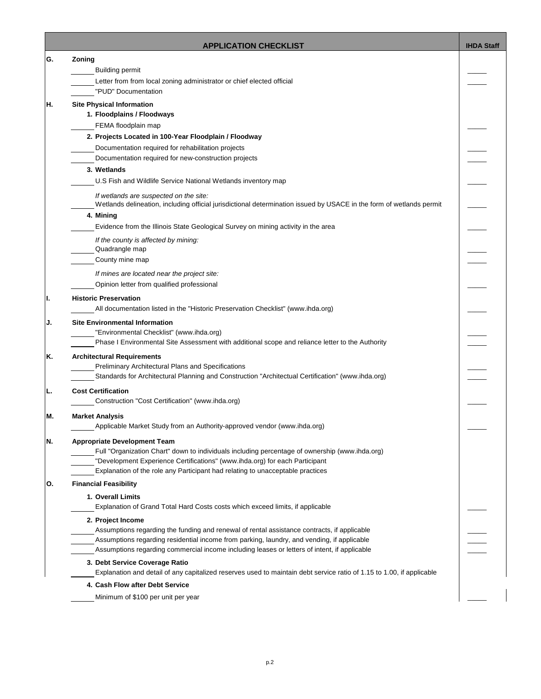|     | <b>APPLICATION CHECKLIST</b>                                                                                          | <b>IHDA Staff</b> |
|-----|-----------------------------------------------------------------------------------------------------------------------|-------------------|
| G.  | Zoning                                                                                                                |                   |
|     | <b>Building permit</b>                                                                                                |                   |
|     | Letter from from local zoning administrator or chief elected official                                                 |                   |
|     | "PUD" Documentation                                                                                                   |                   |
| IH. | <b>Site Physical Information</b>                                                                                      |                   |
|     | 1. Floodplains / Floodways                                                                                            |                   |
|     | FEMA floodplain map                                                                                                   |                   |
|     | 2. Projects Located in 100-Year Floodplain / Floodway                                                                 |                   |
|     | Documentation required for rehabilitation projects<br>Documentation required for new-construction projects            |                   |
|     | 3. Wetlands                                                                                                           |                   |
|     |                                                                                                                       |                   |
|     | U.S Fish and Wildlife Service National Wetlands inventory map                                                         |                   |
|     | If wetlands are suspected on the site:                                                                                |                   |
|     | Wetlands delineation, including official jurisdictional determination issued by USACE in the form of wetlands permit  |                   |
|     | 4. Mining<br>Evidence from the Illinois State Geological Survey on mining activity in the area                        |                   |
|     |                                                                                                                       |                   |
|     | If the county is affected by mining:<br>Quadrangle map                                                                |                   |
|     | County mine map                                                                                                       |                   |
|     |                                                                                                                       |                   |
|     | If mines are located near the project site:                                                                           |                   |
|     | Opinion letter from qualified professional                                                                            |                   |
| ι.  | <b>Historic Preservation</b>                                                                                          |                   |
|     | All documentation listed in the "Historic Preservation Checklist" (www.ihda.org)                                      |                   |
| J.  | <b>Site Environmental Information</b>                                                                                 |                   |
|     | "Environmental Checklist" (www.ihda.org)                                                                              |                   |
|     | Phase I Environmental Site Assessment with additional scope and reliance letter to the Authority                      |                   |
| Κ.  | <b>Architectural Requirements</b>                                                                                     |                   |
|     | Preliminary Architectural Plans and Specifications                                                                    |                   |
|     | Standards for Architectural Planning and Construction "Architectual Certification" (www.ihda.org)                     |                   |
| L.  | <b>Cost Certification</b>                                                                                             |                   |
|     | Construction "Cost Certification" (www.ihda.org)                                                                      |                   |
| М.  | <b>Market Analysis</b>                                                                                                |                   |
|     | Applicable Market Study from an Authority-approved vendor (www.ihda.org)                                              |                   |
| N.  | <b>Appropriate Development Team</b>                                                                                   |                   |
|     | Full "Organization Chart" down to individuals including percentage of ownership (www.ihda.org)                        |                   |
|     | "Development Experience Certifications" (www.ihda.org) for each Participant                                           |                   |
|     | Explanation of the role any Participant had relating to unacceptable practices                                        |                   |
| О.  | <b>Financial Feasibility</b>                                                                                          |                   |
|     | 1. Overall Limits                                                                                                     |                   |
|     | Explanation of Grand Total Hard Costs costs which exceed limits, if applicable                                        |                   |
|     | 2. Project Income                                                                                                     |                   |
|     | Assumptions regarding the funding and renewal of rental assistance contracts, if applicable                           |                   |
|     | Assumptions regarding residential income from parking, laundry, and vending, if applicable                            |                   |
|     | Assumptions regarding commercial income including leases or letters of intent, if applicable                          |                   |
|     | 3. Debt Service Coverage Ratio                                                                                        |                   |
|     | Explanation and detail of any capitalized reserves used to maintain debt service ratio of 1.15 to 1.00, if applicable |                   |
|     | 4. Cash Flow after Debt Service                                                                                       |                   |
|     | Minimum of \$100 per unit per year                                                                                    |                   |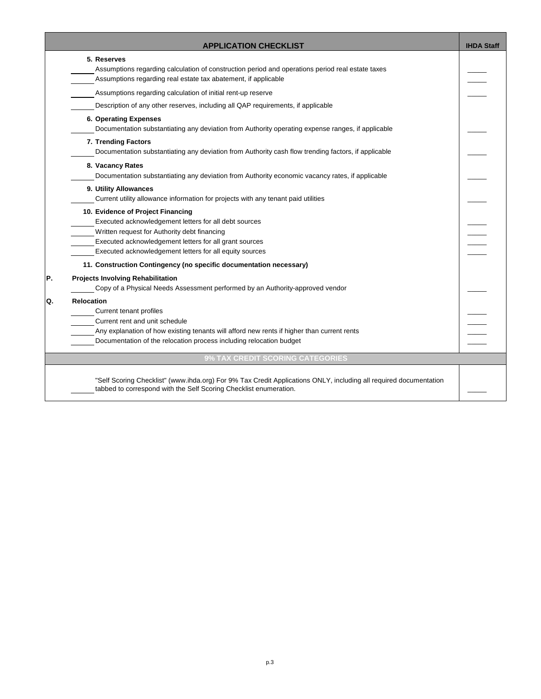|    | <b>APPLICATION CHECKLIST</b>                                                                                                                                                                                                                                    | <b>IHDA Staff</b> |
|----|-----------------------------------------------------------------------------------------------------------------------------------------------------------------------------------------------------------------------------------------------------------------|-------------------|
|    | 5. Reserves<br>Assumptions regarding calculation of construction period and operations period real estate taxes<br>Assumptions regarding real estate tax abatement, if applicable                                                                               |                   |
|    | Assumptions regarding calculation of initial rent-up reserve<br>Description of any other reserves, including all QAP requirements, if applicable                                                                                                                |                   |
|    | 6. Operating Expenses<br>Documentation substantiating any deviation from Authority operating expense ranges, if applicable                                                                                                                                      |                   |
|    | 7. Trending Factors<br>Documentation substantiating any deviation from Authority cash flow trending factors, if applicable                                                                                                                                      |                   |
|    | 8. Vacancy Rates<br>Documentation substantiating any deviation from Authority economic vacancy rates, if applicable                                                                                                                                             |                   |
|    | 9. Utility Allowances<br>Current utility allowance information for projects with any tenant paid utilities                                                                                                                                                      |                   |
|    | 10. Evidence of Project Financing<br>Executed acknowledgement letters for all debt sources<br>Written request for Authority debt financing<br>Executed acknowledgement letters for all grant sources<br>Executed acknowledgement letters for all equity sources |                   |
|    | 11. Construction Contingency (no specific documentation necessary)                                                                                                                                                                                              |                   |
| P. | <b>Projects Involving Rehabilitation</b><br>Copy of a Physical Needs Assessment performed by an Authority-approved vendor                                                                                                                                       |                   |
| Q. | <b>Relocation</b><br>Current tenant profiles<br>Current rent and unit schedule<br>Any explanation of how existing tenants will afford new rents if higher than current rents<br>Documentation of the relocation process including relocation budget             |                   |
|    | <b>9% TAX CREDIT SCORING CATEGORIES</b>                                                                                                                                                                                                                         |                   |
|    | "Self Scoring Checklist" (www.ihda.org) For 9% Tax Credit Applications ONLY, including all required documentation<br>tabbed to correspond with the Self Scoring Checklist enumeration.                                                                          |                   |